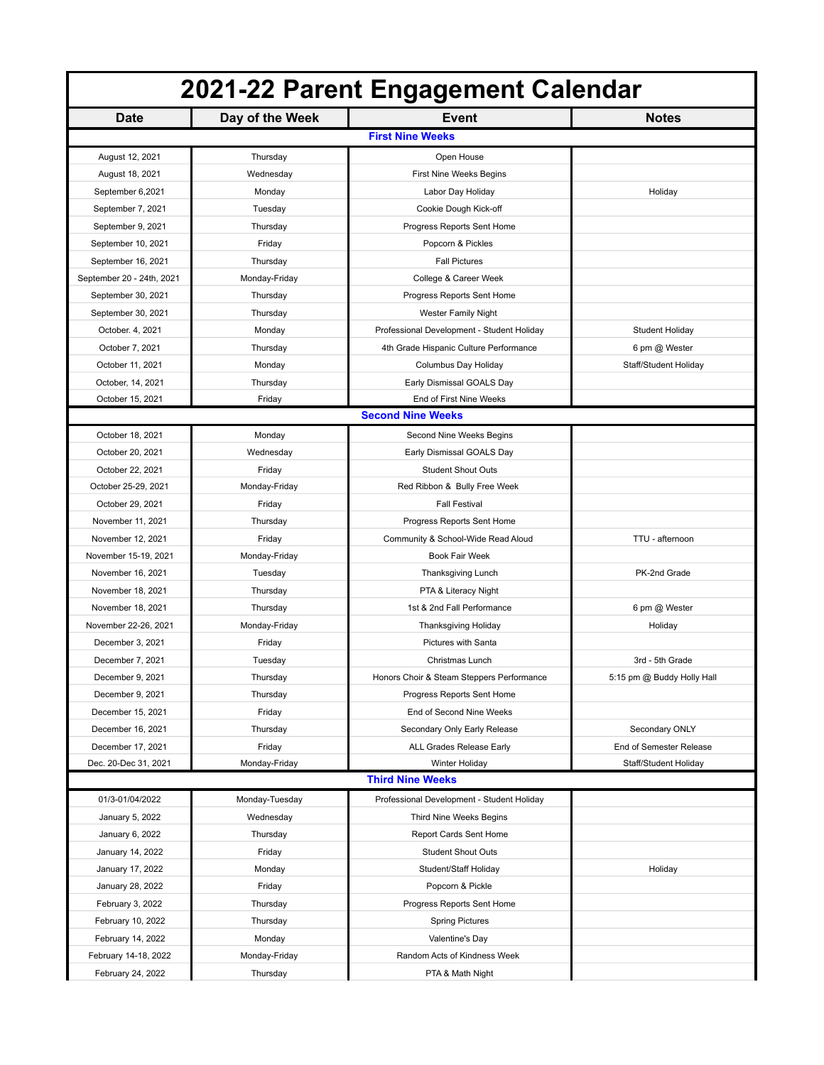| 2021-22 Parent Engagement Calendar      |                 |                                            |                            |  |
|-----------------------------------------|-----------------|--------------------------------------------|----------------------------|--|
| <b>Date</b>                             | Day of the Week | <b>Event</b>                               | <b>Notes</b>               |  |
|                                         |                 | <b>First Nine Weeks</b>                    |                            |  |
| August 12, 2021                         | Thursday        | Open House                                 |                            |  |
| August 18, 2021                         | Wednesday       | First Nine Weeks Begins                    |                            |  |
| September 6,2021                        | Monday          | Labor Day Holiday                          | Holiday                    |  |
| September 7, 2021                       | Tuesday         | Cookie Dough Kick-off                      |                            |  |
| September 9, 2021                       | Thursday        | Progress Reports Sent Home                 |                            |  |
| September 10, 2021                      | Friday          | Popcorn & Pickles                          |                            |  |
| September 16, 2021                      | Thursday        | <b>Fall Pictures</b>                       |                            |  |
| September 20 - 24th, 2021               | Monday-Friday   | College & Career Week                      |                            |  |
| September 30, 2021                      | Thursday        | Progress Reports Sent Home                 |                            |  |
| September 30, 2021                      | Thursday        | <b>Wester Family Night</b>                 |                            |  |
| October. 4, 2021                        | Monday          | Professional Development - Student Holiday | Student Holiday            |  |
| October 7, 2021                         | Thursday        | 4th Grade Hispanic Culture Performance     | 6 pm @ Wester              |  |
| October 11, 2021                        | Monday          | Columbus Day Holiday                       | Staff/Student Holiday      |  |
| October, 14, 2021                       | Thursday        | Early Dismissal GOALS Day                  |                            |  |
| October 15, 2021                        | Friday          | End of First Nine Weeks                    |                            |  |
|                                         |                 | <b>Second Nine Weeks</b>                   |                            |  |
| October 18, 2021                        | Monday          | Second Nine Weeks Begins                   |                            |  |
| October 20, 2021                        | Wednesday       | Early Dismissal GOALS Day                  |                            |  |
|                                         | Friday          | <b>Student Shout Outs</b>                  |                            |  |
| October 22, 2021<br>October 25-29, 2021 | Monday-Friday   | Red Ribbon & Bully Free Week               |                            |  |
|                                         |                 | <b>Fall Festival</b>                       |                            |  |
| October 29, 2021                        | Friday          |                                            |                            |  |
| November 11, 2021                       | Thursday        | Progress Reports Sent Home                 | TTU - afternoon            |  |
| November 12, 2021                       | Friday          | Community & School-Wide Read Aloud         |                            |  |
| November 15-19, 2021                    | Monday-Friday   | <b>Book Fair Week</b>                      |                            |  |
| November 16, 2021                       | Tuesday         | Thanksgiving Lunch                         | PK-2nd Grade               |  |
| November 18, 2021                       | Thursday        | PTA & Literacy Night                       |                            |  |
| November 18, 2021                       | Thursday        | 1st & 2nd Fall Performance                 | 6 pm @ Wester              |  |
| November 22-26, 2021                    | Monday-Friday   | Thanksgiving Holiday                       | Holiday                    |  |
| December 3, 2021                        | Friday          | Pictures with Santa                        |                            |  |
| December 7, 2021                        | Tuesday         | Christmas Lunch                            | 3rd - 5th Grade            |  |
| December 9, 2021                        | Thursday        | Honors Choir & Steam Steppers Performance  | 5:15 pm @ Buddy Holly Hall |  |
| December 9, 2021                        | Thursday        | Progress Reports Sent Home                 |                            |  |
| December 15, 2021                       | Friday          | End of Second Nine Weeks                   |                            |  |
| December 16, 2021                       | Thursday        | Secondary Only Early Release               | Secondary ONLY             |  |
| December 17, 2021                       | Friday          | ALL Grades Release Early                   | End of Semester Release    |  |
| Dec. 20-Dec 31, 2021                    | Monday-Friday   | Winter Holiday                             | Staff/Student Holiday      |  |
| <b>Third Nine Weeks</b>                 |                 |                                            |                            |  |
| 01/3-01/04/2022                         | Monday-Tuesday  | Professional Development - Student Holiday |                            |  |
| January 5, 2022                         | Wednesday       | Third Nine Weeks Begins                    |                            |  |
| January 6, 2022                         | Thursday        | Report Cards Sent Home                     |                            |  |
| January 14, 2022                        | Friday          | <b>Student Shout Outs</b>                  |                            |  |
| January 17, 2022                        | Monday          | Student/Staff Holiday                      | Holiday                    |  |
| January 28, 2022                        | Friday          | Popcorn & Pickle                           |                            |  |
| February 3, 2022                        | Thursday        | Progress Reports Sent Home                 |                            |  |
| February 10, 2022                       | Thursday        | <b>Spring Pictures</b>                     |                            |  |
| February 14, 2022                       | Monday          | Valentine's Day                            |                            |  |
| February 14-18, 2022                    | Monday-Friday   | Random Acts of Kindness Week               |                            |  |
| February 24, 2022                       | Thursday        | PTA & Math Night                           |                            |  |